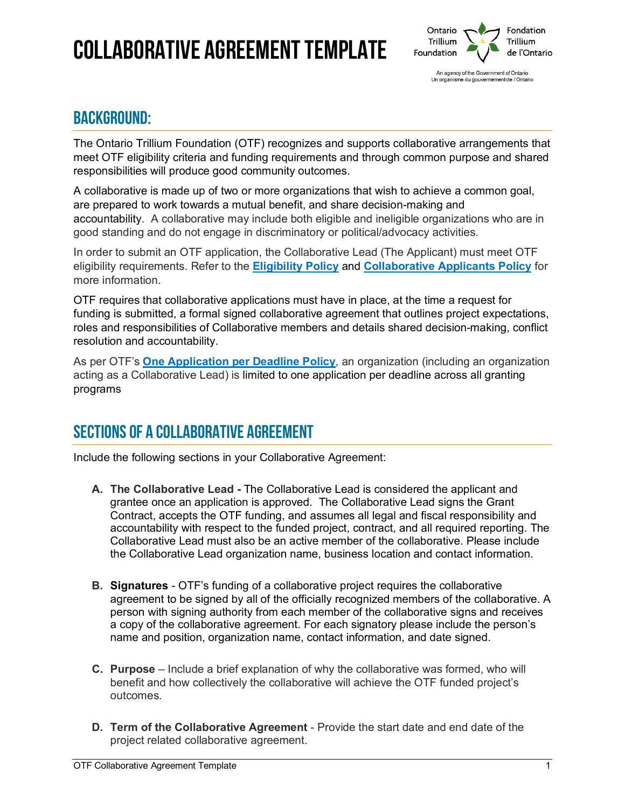# Collaborative Agreement template



### BACKGROUND:

The Ontario Trillium Foundation (OTF) recognizes and supports collaborative arrangements that meet OTF eligibility criteria and funding requirements and through common purpose and shared responsibilities will produce good community outcomes.

A collaborative is made up of two or more organizations that wish to achieve a common goal, are prepared to work towards a mutual benefit, and share decision-making and accountability. A collaborative may include both eligible and ineligible organizations who are in good standing and do not engage in discriminatory or political/advocacy activities.

In order to submit an OTF application, the Collaborative Lead (The Applicant) must meet OTF eligibility requirements. Refer to the **[Eligibility Policy](https://otf.ca/eligibility-policy)** and **[Collaborative Applicants Policy](https://otf.ca/collaborative-applicants-policy)** for more information.

OTF requires that collaborative applications must have in place, at the time a request for funding is submitted, a formal signed collaborative agreement that outlines project expectations, roles and responsibilities of Collaborative members and details shared decision-making, conflict resolution and accountability.

As per OTF's **[One Application per Deadline Policy](https://otf.ca/one-application-deadline)**, an organization (including an organization acting as a Collaborative Lead) is limited to one application per deadline across all granting programs

## SECTIONS OF A COLLABORATIVE AGREEMENT

Include the following sections in your Collaborative Agreement:

- **A. The Collaborative Lead** The Collaborative Lead is considered the applicant and grantee once an application is approved. The Collaborative Lead signs the Grant Contract, accepts the OTF funding, and assumes all legal and fiscal responsibility and accountability with respect to the funded project, contract, and all required reporting. The Collaborative Lead must also be an active member of the collaborative. Please include the Collaborative Lead organization name, business location and contact information.
- **B. Signatures** OTF's funding of a collaborative project requires the collaborative agreement to be signed by all of the officially recognized members of the collaborative. A person with signing authority from each member of the collaborative signs and receives a copy of the collaborative agreement. For each signatory please include the person's name and position, organization name, contact information, and date signed.
- **C. Purpose**  Include a brief explanation of why the collaborative was formed, who will benefit and how collectively the collaborative will achieve the OTF funded project's outcomes.
- **D. Term of the Collaborative Agreement**  Provide the start date and end date of the project related collaborative agreement.